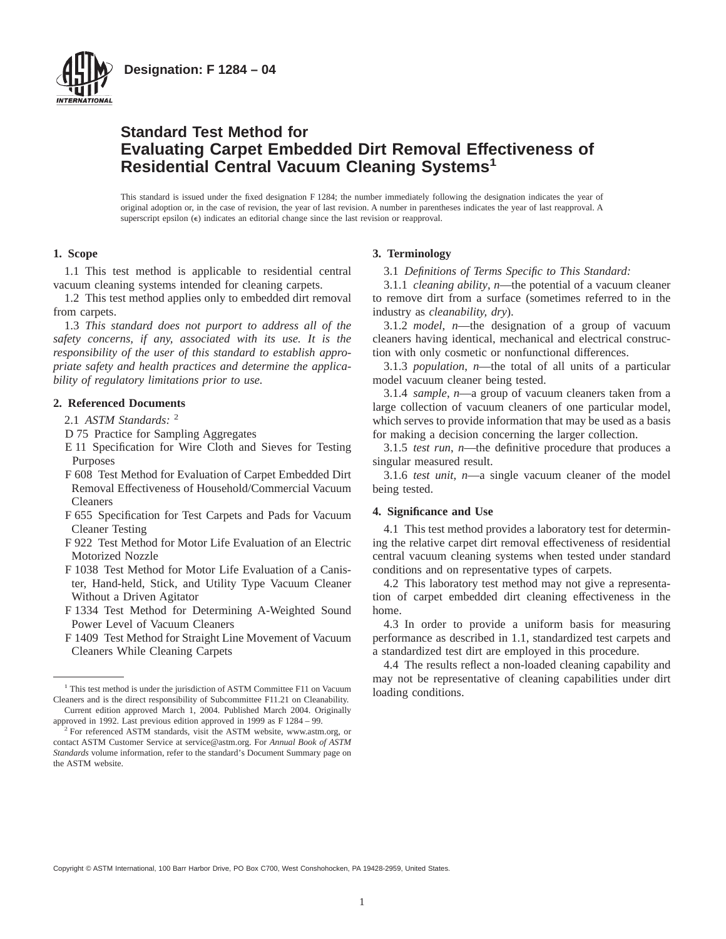

# **Standard Test Method for Evaluating Carpet Embedded Dirt Removal Effectiveness of Residential Central Vacuum Cleaning Systems<sup>1</sup>**

This standard is issued under the fixed designation F 1284; the number immediately following the designation indicates the year of original adoption or, in the case of revision, the year of last revision. A number in parentheses indicates the year of last reapproval. A superscript epsilon  $(\epsilon)$  indicates an editorial change since the last revision or reapproval.

# **1. Scope**

1.1 This test method is applicable to residential central vacuum cleaning systems intended for cleaning carpets.

1.2 This test method applies only to embedded dirt removal from carpets.

1.3 *This standard does not purport to address all of the safety concerns, if any, associated with its use. It is the responsibility of the user of this standard to establish appropriate safety and health practices and determine the applicability of regulatory limitations prior to use.*

## **2. Referenced Documents**

2.1 *ASTM Standards:* <sup>2</sup>

- D 75 Practice for Sampling Aggregates
- E 11 Specification for Wire Cloth and Sieves for Testing Purposes
- F 608 Test Method for Evaluation of Carpet Embedded Dirt Removal Effectiveness of Household/Commercial Vacuum Cleaners
- F 655 Specification for Test Carpets and Pads for Vacuum Cleaner Testing
- F 922 Test Method for Motor Life Evaluation of an Electric Motorized Nozzle
- F 1038 Test Method for Motor Life Evaluation of a Canister, Hand-held, Stick, and Utility Type Vacuum Cleaner Without a Driven Agitator
- F 1334 Test Method for Determining A-Weighted Sound Power Level of Vacuum Cleaners
- F 1409 Test Method for Straight Line Movement of Vacuum Cleaners While Cleaning Carpets

#### **3. Terminology**

3.1 *Definitions of Terms Specific to This Standard:*

3.1.1 *cleaning ability*, *n*—the potential of a vacuum cleaner to remove dirt from a surface (sometimes referred to in the industry as *cleanability, dry*).

3.1.2 *model*, *n*—the designation of a group of vacuum cleaners having identical, mechanical and electrical construction with only cosmetic or nonfunctional differences.

3.1.3 *population*, *n*—the total of all units of a particular model vacuum cleaner being tested.

3.1.4 *sample*, *n*—a group of vacuum cleaners taken from a large collection of vacuum cleaners of one particular model, which serves to provide information that may be used as a basis for making a decision concerning the larger collection.

3.1.5 *test run*, *n*—the definitive procedure that produces a singular measured result.

3.1.6 *test unit*, *n*—a single vacuum cleaner of the model being tested.

#### **4. Significance and Use**

4.1 This test method provides a laboratory test for determining the relative carpet dirt removal effectiveness of residential central vacuum cleaning systems when tested under standard conditions and on representative types of carpets.

4.2 This laboratory test method may not give a representation of carpet embedded dirt cleaning effectiveness in the home.

4.3 In order to provide a uniform basis for measuring performance as described in 1.1, standardized test carpets and a standardized test dirt are employed in this procedure.

4.4 The results reflect a non-loaded cleaning capability and may not be representative of cleaning capabilities under dirt

Copyright © ASTM International, 100 Barr Harbor Drive, PO Box C700, West Conshohocken, PA 19428-2959, United States.

<sup>&</sup>lt;sup>1</sup> This test method is under the jurisdiction of ASTM Committee F11 on Vacuum  $\qquad$  loading conditions. Cleaners and is the direct responsibility of Subcommittee F11.21 on Cleanability. Current edition approved March 1, 2004. Published March 2004. Originally approved in 1992. Last previous edition approved in 1999 as F 1284 – 99.

<sup>&</sup>lt;sup>2</sup> For referenced ASTM standards, visit the ASTM website, www.astm.org, or contact ASTM Customer Service at service@astm.org. For *Annual Book of ASTM Standards* volume information, refer to the standard's Document Summary page on the ASTM website.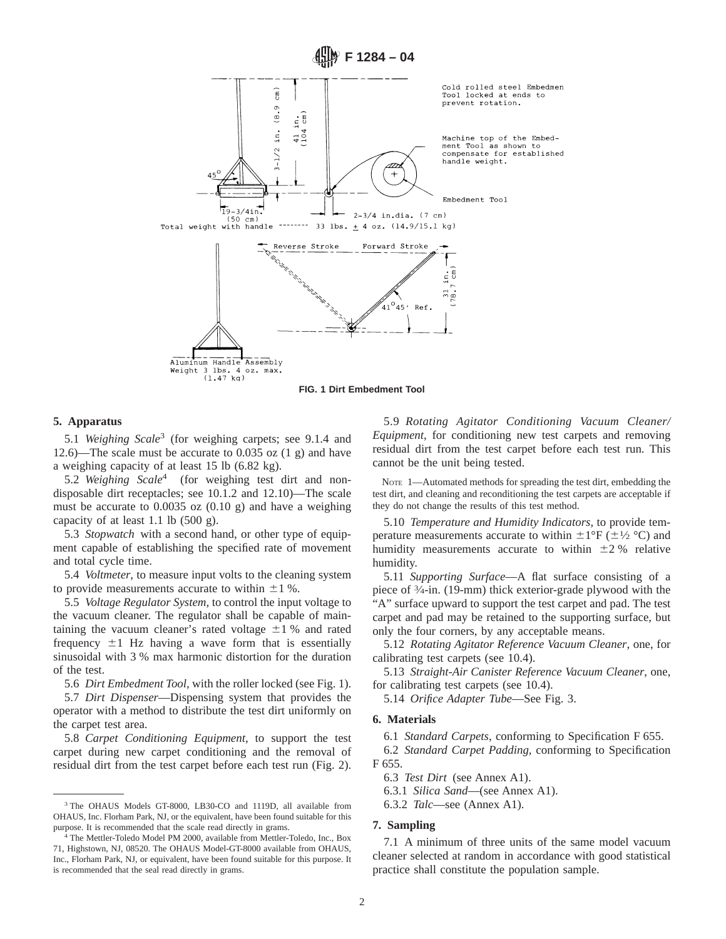

**FIG. 1 Dirt Embedment Tool**

#### **5. Apparatus**

5.1 *Weighing Scale*<sup>3</sup> (for weighing carpets; see 9.1.4 and 12.6)—The scale must be accurate to 0.035 oz (1 g) and have a weighing capacity of at least 15 lb (6.82 kg).

5.2 *Weighing Scale*<sup>4</sup> (for weighing test dirt and nondisposable dirt receptacles; see 10.1.2 and 12.10)—The scale must be accurate to 0.0035 oz (0.10 g) and have a weighing capacity of at least 1.1 lb (500 g).

5.3 *Stopwatch* with a second hand, or other type of equipment capable of establishing the specified rate of movement and total cycle time.

5.4 *Voltmeter*, to measure input volts to the cleaning system to provide measurements accurate to within  $\pm 1$  %.

5.5 *Voltage Regulator System*, to control the input voltage to the vacuum cleaner. The regulator shall be capable of maintaining the vacuum cleaner's rated voltage  $\pm 1$  % and rated frequency  $\pm 1$  Hz having a wave form that is essentially sinusoidal with 3 % max harmonic distortion for the duration of the test.

5.6 *Dirt Embedment Tool*, with the roller locked (see Fig. 1).

5.7 *Dirt Dispenser*—Dispensing system that provides the operator with a method to distribute the test dirt uniformly on the carpet test area.

5.8 *Carpet Conditioning Equipment*, to support the test carpet during new carpet conditioning and the removal of residual dirt from the test carpet before each test run (Fig. 2).

5.9 *Rotating Agitator Conditioning Vacuum Cleaner/ Equipment*, for conditioning new test carpets and removing residual dirt from the test carpet before each test run. This cannot be the unit being tested.

NOTE 1—Automated methods for spreading the test dirt, embedding the test dirt, and cleaning and reconditioning the test carpets are acceptable if they do not change the results of this test method.

5.10 *Temperature and Humidity Indicators*, to provide temperature measurements accurate to within  $\pm 1^{\circ}F$  ( $\pm \frac{1}{2}$  °C) and humidity measurements accurate to within  $\pm 2$  % relative humidity.

5.11 *Supporting Surface*—A flat surface consisting of a piece of 3⁄4-in. (19-mm) thick exterior-grade plywood with the "A" surface upward to support the test carpet and pad. The test carpet and pad may be retained to the supporting surface, but only the four corners, by any acceptable means.

5.12 *Rotating Agitator Reference Vacuum Cleaner*, one, for calibrating test carpets (see 10.4).

5.13 *Straight-Air Canister Reference Vacuum Cleaner*, one, for calibrating test carpets (see 10.4).

5.14 *Orifice Adapter Tube*—See Fig. 3.

#### **6. Materials**

6.1 *Standard Carpets*, conforming to Specification F 655.

6.2 *Standard Carpet Padding*, conforming to Specification F 655.

6.3 *Test Dirt* (see Annex A1).

6.3.1 *Silica Sand*—(see Annex A1).

6.3.2 *Talc*—see (Annex A1).

#### **7. Sampling**

7.1 A minimum of three units of the same model vacuum cleaner selected at random in accordance with good statistical practice shall constitute the population sample.

<sup>3</sup> The OHAUS Models GT-8000, LB30-CO and 1119D, all available from OHAUS, Inc. Florham Park, NJ, or the equivalent, have been found suitable for this purpose. It is recommended that the scale read directly in grams.

<sup>&</sup>lt;sup>4</sup> The Mettler-Toledo Model PM 2000, available from Mettler-Toledo, Inc., Box 71, Highstown, NJ, 08520. The OHAUS Model-GT-8000 available from OHAUS, Inc., Florham Park, NJ, or equivalent, have been found suitable for this purpose. It is recommended that the seal read directly in grams.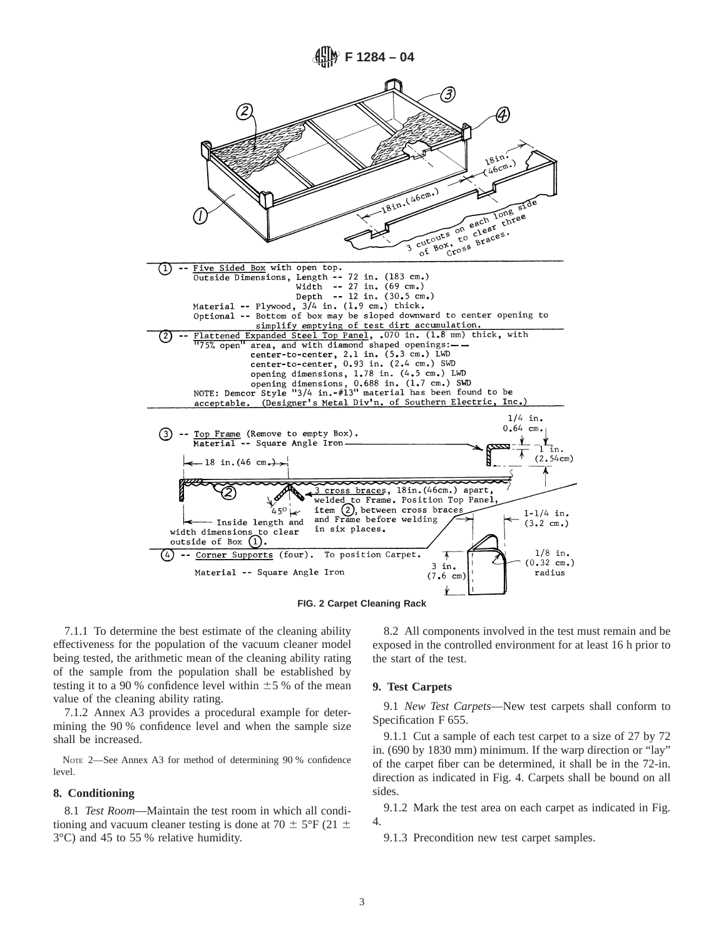

7.1.1 To determine the best estimate of the cleaning ability effectiveness for the population of the vacuum cleaner model being tested, the arithmetic mean of the cleaning ability rating of the sample from the population shall be established by testing it to a 90 % confidence level within  $\pm 5$  % of the mean value of the cleaning ability rating.

7.1.2 Annex A3 provides a procedural example for determining the 90 % confidence level and when the sample size shall be increased.

NOTE 2—See Annex A3 for method of determining 90 % confidence level.

## **8. Conditioning**

8.1 *Test Room*—Maintain the test room in which all conditioning and vacuum cleaner testing is done at 70  $\pm$  5°F (21  $\pm$ 3°C) and 45 to 55 % relative humidity.

8.2 All components involved in the test must remain and be exposed in the controlled environment for at least 16 h prior to the start of the test.

#### **9. Test Carpets**

9.1 *New Test Carpets*—New test carpets shall conform to Specification F 655.

9.1.1 Cut a sample of each test carpet to a size of 27 by 72 in. (690 by 1830 mm) minimum. If the warp direction or "lay" of the carpet fiber can be determined, it shall be in the 72-in. direction as indicated in Fig. 4. Carpets shall be bound on all sides.

9.1.2 Mark the test area on each carpet as indicated in Fig. 4.

9.1.3 Precondition new test carpet samples.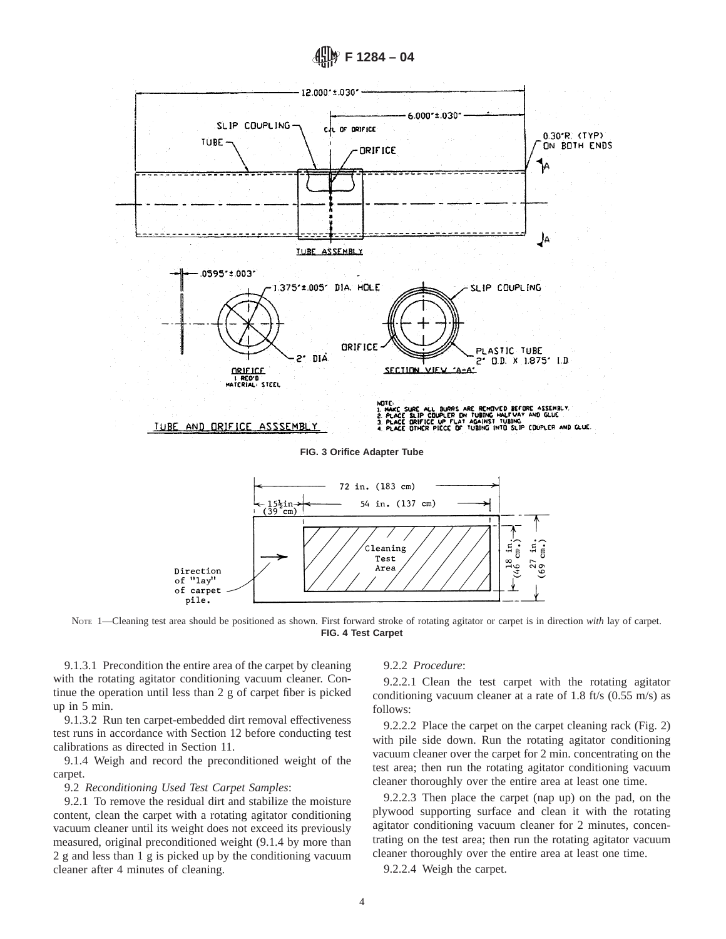



NOTE 1—Cleaning test area should be positioned as shown. First forward stroke of rotating agitator or carpet is in direction *with* lay of carpet. **FIG. 4 Test Carpet**

9.1.3.1 Precondition the entire area of the carpet by cleaning with the rotating agitator conditioning vacuum cleaner. Continue the operation until less than 2 g of carpet fiber is picked up in 5 min.

9.1.3.2 Run ten carpet-embedded dirt removal effectiveness test runs in accordance with Section 12 before conducting test calibrations as directed in Section 11.

9.1.4 Weigh and record the preconditioned weight of the carpet.

9.2 *Reconditioning Used Test Carpet Samples*:

9.2.1 To remove the residual dirt and stabilize the moisture content, clean the carpet with a rotating agitator conditioning vacuum cleaner until its weight does not exceed its previously measured, original preconditioned weight (9.1.4 by more than 2 g and less than 1 g is picked up by the conditioning vacuum cleaner after 4 minutes of cleaning.

## 9.2.2 *Procedure*:

9.2.2.1 Clean the test carpet with the rotating agitator conditioning vacuum cleaner at a rate of 1.8 ft/s (0.55 m/s) as follows:

9.2.2.2 Place the carpet on the carpet cleaning rack (Fig. 2) with pile side down. Run the rotating agitator conditioning vacuum cleaner over the carpet for 2 min. concentrating on the test area; then run the rotating agitator conditioning vacuum cleaner thoroughly over the entire area at least one time.

9.2.2.3 Then place the carpet (nap up) on the pad, on the plywood supporting surface and clean it with the rotating agitator conditioning vacuum cleaner for 2 minutes, concentrating on the test area; then run the rotating agitator vacuum cleaner thoroughly over the entire area at least one time.

9.2.2.4 Weigh the carpet.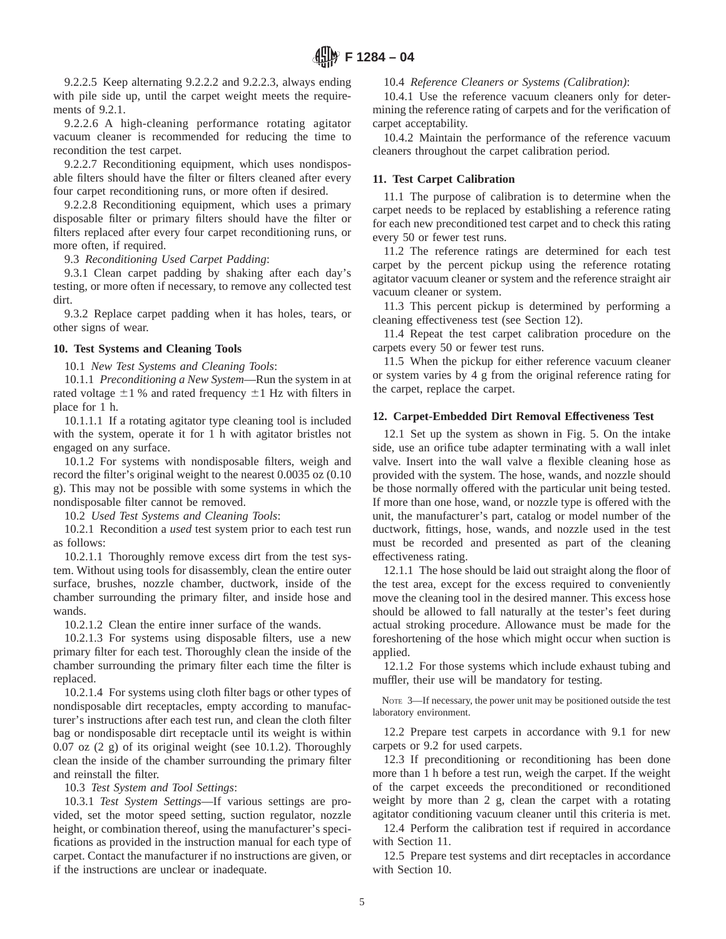9.2.2.5 Keep alternating 9.2.2.2 and 9.2.2.3, always ending with pile side up, until the carpet weight meets the requirements of 9.2.1.

9.2.2.6 A high-cleaning performance rotating agitator vacuum cleaner is recommended for reducing the time to recondition the test carpet.

9.2.2.7 Reconditioning equipment, which uses nondisposable filters should have the filter or filters cleaned after every four carpet reconditioning runs, or more often if desired.

9.2.2.8 Reconditioning equipment, which uses a primary disposable filter or primary filters should have the filter or filters replaced after every four carpet reconditioning runs, or more often, if required.

9.3 *Reconditioning Used Carpet Padding*:

9.3.1 Clean carpet padding by shaking after each day's testing, or more often if necessary, to remove any collected test dirt.

9.3.2 Replace carpet padding when it has holes, tears, or other signs of wear.

# **10. Test Systems and Cleaning Tools**

10.1 *New Test Systems and Cleaning Tools*:

10.1.1 *Preconditioning a New System*—Run the system in at rated voltage  $\pm 1$  % and rated frequency  $\pm 1$  Hz with filters in place for 1 h.

10.1.1.1 If a rotating agitator type cleaning tool is included with the system, operate it for 1 h with agitator bristles not engaged on any surface.

10.1.2 For systems with nondisposable filters, weigh and record the filter's original weight to the nearest 0.0035 oz (0.10 g). This may not be possible with some systems in which the nondisposable filter cannot be removed.

10.2 *Used Test Systems and Cleaning Tools*:

10.2.1 Recondition a *used* test system prior to each test run as follows:

10.2.1.1 Thoroughly remove excess dirt from the test system. Without using tools for disassembly, clean the entire outer surface, brushes, nozzle chamber, ductwork, inside of the chamber surrounding the primary filter, and inside hose and wands.

10.2.1.2 Clean the entire inner surface of the wands.

10.2.1.3 For systems using disposable filters, use a new primary filter for each test. Thoroughly clean the inside of the chamber surrounding the primary filter each time the filter is replaced.

10.2.1.4 For systems using cloth filter bags or other types of nondisposable dirt receptacles, empty according to manufacturer's instructions after each test run, and clean the cloth filter bag or nondisposable dirt receptacle until its weight is within 0.07 oz (2 g) of its original weight (see 10.1.2). Thoroughly clean the inside of the chamber surrounding the primary filter and reinstall the filter.

10.3 *Test System and Tool Settings*:

10.3.1 *Test System Settings*—If various settings are provided, set the motor speed setting, suction regulator, nozzle height, or combination thereof, using the manufacturer's specifications as provided in the instruction manual for each type of carpet. Contact the manufacturer if no instructions are given, or if the instructions are unclear or inadequate.

## 10.4 *Reference Cleaners or Systems (Calibration)*:

10.4.1 Use the reference vacuum cleaners only for determining the reference rating of carpets and for the verification of carpet acceptability.

10.4.2 Maintain the performance of the reference vacuum cleaners throughout the carpet calibration period.

# **11. Test Carpet Calibration**

11.1 The purpose of calibration is to determine when the carpet needs to be replaced by establishing a reference rating for each new preconditioned test carpet and to check this rating every 50 or fewer test runs.

11.2 The reference ratings are determined for each test carpet by the percent pickup using the reference rotating agitator vacuum cleaner or system and the reference straight air vacuum cleaner or system.

11.3 This percent pickup is determined by performing a cleaning effectiveness test (see Section 12).

11.4 Repeat the test carpet calibration procedure on the carpets every 50 or fewer test runs.

11.5 When the pickup for either reference vacuum cleaner or system varies by 4 g from the original reference rating for the carpet, replace the carpet.

# **12. Carpet-Embedded Dirt Removal Effectiveness Test**

12.1 Set up the system as shown in Fig. 5. On the intake side, use an orifice tube adapter terminating with a wall inlet valve. Insert into the wall valve a flexible cleaning hose as provided with the system. The hose, wands, and nozzle should be those normally offered with the particular unit being tested. If more than one hose, wand, or nozzle type is offered with the unit, the manufacturer's part, catalog or model number of the ductwork, fittings, hose, wands, and nozzle used in the test must be recorded and presented as part of the cleaning effectiveness rating.

12.1.1 The hose should be laid out straight along the floor of the test area, except for the excess required to conveniently move the cleaning tool in the desired manner. This excess hose should be allowed to fall naturally at the tester's feet during actual stroking procedure. Allowance must be made for the foreshortening of the hose which might occur when suction is applied.

12.1.2 For those systems which include exhaust tubing and muffler, their use will be mandatory for testing.

NOTE 3—If necessary, the power unit may be positioned outside the test laboratory environment.

12.2 Prepare test carpets in accordance with 9.1 for new carpets or 9.2 for used carpets.

12.3 If preconditioning or reconditioning has been done more than 1 h before a test run, weigh the carpet. If the weight of the carpet exceeds the preconditioned or reconditioned weight by more than 2 g, clean the carpet with a rotating agitator conditioning vacuum cleaner until this criteria is met.

12.4 Perform the calibration test if required in accordance with Section 11.

12.5 Prepare test systems and dirt receptacles in accordance with Section 10.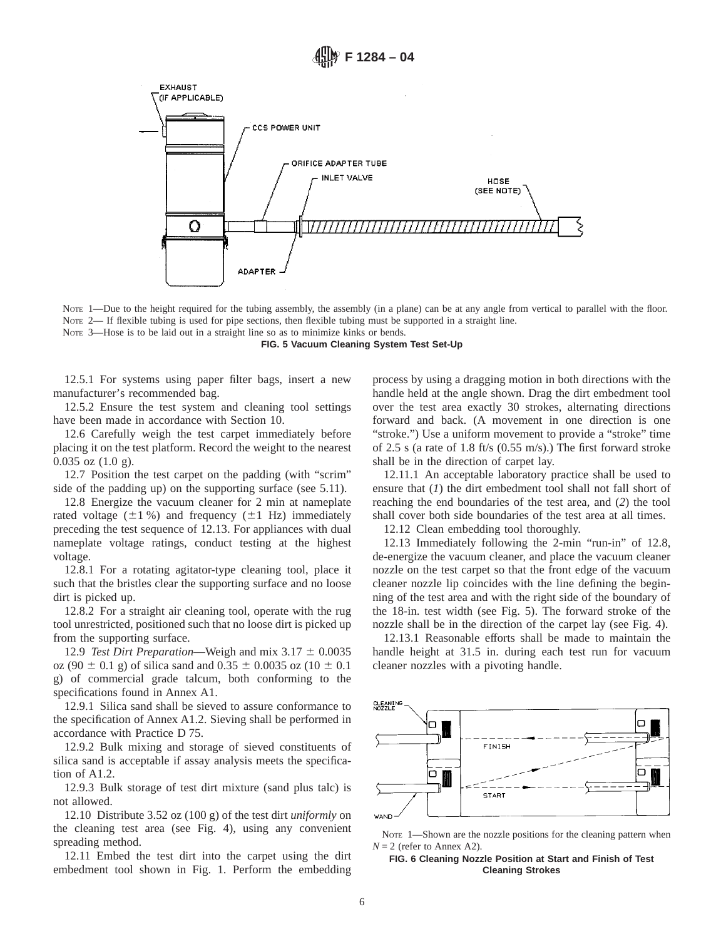

NOTE 1—Due to the height required for the tubing assembly, the assembly (in a plane) can be at any angle from vertical to parallel with the floor. NOTE 2— If flexible tubing is used for pipe sections, then flexible tubing must be supported in a straight line. NOTE 3—Hose is to be laid out in a straight line so as to minimize kinks or bends.

**FIG. 5 Vacuum Cleaning System Test Set-Up**

12.5.1 For systems using paper filter bags, insert a new manufacturer's recommended bag.

12.5.2 Ensure the test system and cleaning tool settings have been made in accordance with Section 10.

12.6 Carefully weigh the test carpet immediately before placing it on the test platform. Record the weight to the nearest 0.035 oz (1.0 g).

12.7 Position the test carpet on the padding (with "scrim" side of the padding up) on the supporting surface (see 5.11).

12.8 Energize the vacuum cleaner for 2 min at nameplate rated voltage  $(\pm 1 \%)$  and frequency  $(\pm 1 \text{ Hz})$  immediately preceding the test sequence of 12.13. For appliances with dual nameplate voltage ratings, conduct testing at the highest voltage.

12.8.1 For a rotating agitator-type cleaning tool, place it such that the bristles clear the supporting surface and no loose dirt is picked up.

12.8.2 For a straight air cleaning tool, operate with the rug tool unrestricted, positioned such that no loose dirt is picked up from the supporting surface.

12.9 *Test Dirt Preparation*—Weigh and mix  $3.17 \pm 0.0035$ oz (90  $\pm$  0.1 g) of silica sand and 0.35  $\pm$  0.0035 oz (10  $\pm$  0.1 g) of commercial grade talcum, both conforming to the specifications found in Annex A1.

12.9.1 Silica sand shall be sieved to assure conformance to the specification of Annex A1.2. Sieving shall be performed in accordance with Practice D 75.

12.9.2 Bulk mixing and storage of sieved constituents of silica sand is acceptable if assay analysis meets the specification of A1.2.

12.9.3 Bulk storage of test dirt mixture (sand plus talc) is not allowed.

12.10 Distribute 3.52 oz (100 g) of the test dirt *uniformly* on the cleaning test area (see Fig. 4), using any convenient spreading method.

12.11 Embed the test dirt into the carpet using the dirt embedment tool shown in Fig. 1. Perform the embedding process by using a dragging motion in both directions with the handle held at the angle shown. Drag the dirt embedment tool over the test area exactly 30 strokes, alternating directions forward and back. (A movement in one direction is one "stroke.") Use a uniform movement to provide a "stroke" time of 2.5 s (a rate of 1.8 ft/s (0.55 m/s).) The first forward stroke shall be in the direction of carpet lay.

12.11.1 An acceptable laboratory practice shall be used to ensure that (*1*) the dirt embedment tool shall not fall short of reaching the end boundaries of the test area, and (*2*) the tool shall cover both side boundaries of the test area at all times.

12.12 Clean embedding tool thoroughly.

12.13 Immediately following the 2-min "run-in" of 12.8, de-energize the vacuum cleaner, and place the vacuum cleaner nozzle on the test carpet so that the front edge of the vacuum cleaner nozzle lip coincides with the line defining the beginning of the test area and with the right side of the boundary of the 18-in. test width (see Fig. 5). The forward stroke of the nozzle shall be in the direction of the carpet lay (see Fig. 4).

12.13.1 Reasonable efforts shall be made to maintain the handle height at 31.5 in. during each test run for vacuum cleaner nozzles with a pivoting handle.



NOTE 1-Shown are the nozzle positions for the cleaning pattern when  $N = 2$  (refer to Annex A2).

#### **FIG. 6 Cleaning Nozzle Position at Start and Finish of Test Cleaning Strokes**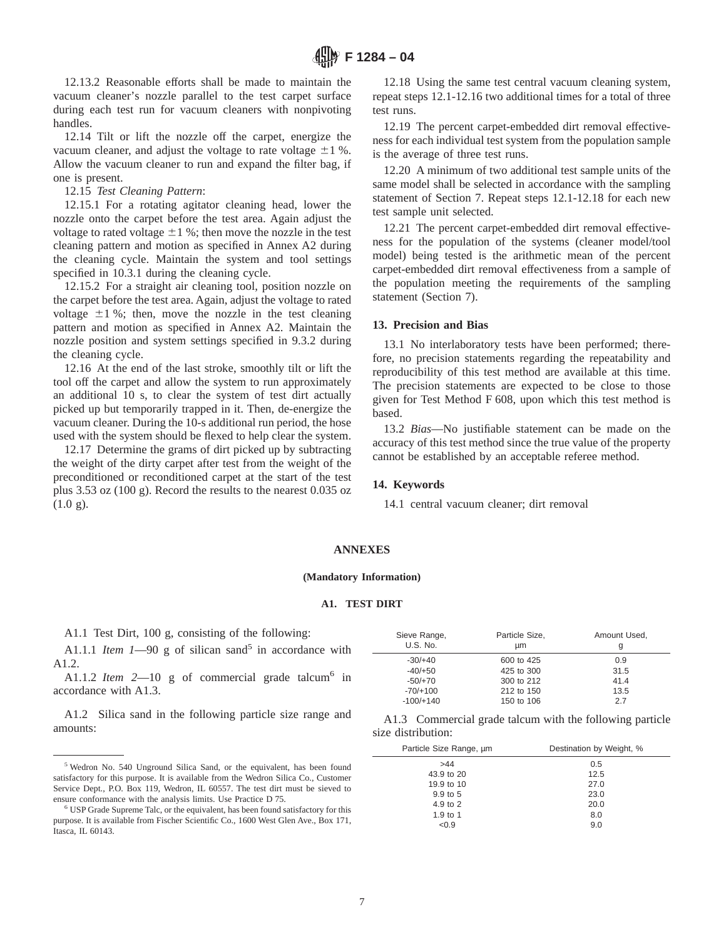12.13.2 Reasonable efforts shall be made to maintain the vacuum cleaner's nozzle parallel to the test carpet surface during each test run for vacuum cleaners with nonpivoting handles.

12.14 Tilt or lift the nozzle off the carpet, energize the vacuum cleaner, and adjust the voltage to rate voltage  $\pm 1$  %. Allow the vacuum cleaner to run and expand the filter bag, if one is present.

#### 12.15 *Test Cleaning Pattern*:

12.15.1 For a rotating agitator cleaning head, lower the nozzle onto the carpet before the test area. Again adjust the voltage to rated voltage  $\pm 1$  %; then move the nozzle in the test cleaning pattern and motion as specified in Annex A2 during the cleaning cycle. Maintain the system and tool settings specified in 10.3.1 during the cleaning cycle.

12.15.2 For a straight air cleaning tool, position nozzle on the carpet before the test area. Again, adjust the voltage to rated voltage  $\pm 1$  %; then, move the nozzle in the test cleaning pattern and motion as specified in Annex A2. Maintain the nozzle position and system settings specified in 9.3.2 during the cleaning cycle.

12.16 At the end of the last stroke, smoothly tilt or lift the tool off the carpet and allow the system to run approximately an additional 10 s, to clear the system of test dirt actually picked up but temporarily trapped in it. Then, de-energize the vacuum cleaner. During the 10-s additional run period, the hose used with the system should be flexed to help clear the system.

12.17 Determine the grams of dirt picked up by subtracting the weight of the dirty carpet after test from the weight of the preconditioned or reconditioned carpet at the start of the test plus 3.53 oz (100 g). Record the results to the nearest 0.035 oz  $(1.0 \text{ g}).$ 

12.18 Using the same test central vacuum cleaning system, repeat steps 12.1-12.16 two additional times for a total of three test runs.

12.19 The percent carpet-embedded dirt removal effectiveness for each individual test system from the population sample is the average of three test runs.

12.20 A minimum of two additional test sample units of the same model shall be selected in accordance with the sampling statement of Section 7. Repeat steps 12.1-12.18 for each new test sample unit selected.

12.21 The percent carpet-embedded dirt removal effectiveness for the population of the systems (cleaner model/tool model) being tested is the arithmetic mean of the percent carpet-embedded dirt removal effectiveness from a sample of the population meeting the requirements of the sampling statement (Section 7).

#### **13. Precision and Bias**

13.1 No interlaboratory tests have been performed; therefore, no precision statements regarding the repeatability and reproducibility of this test method are available at this time. The precision statements are expected to be close to those given for Test Method F 608, upon which this test method is based.

13.2 *Bias*—No justifiable statement can be made on the accuracy of this test method since the true value of the property cannot be established by an acceptable referee method.

#### **14. Keywords**

14.1 central vacuum cleaner; dirt removal

#### **ANNEXES**

#### **(Mandatory Information)**

#### **A1. TEST DIRT**

A1.1 Test Dirt, 100 g, consisting of the following:

A1.1.1 *Item 1*—90 g of silican sand<sup>5</sup> in accordance with A1.2.

A1.1.2 *Item*  $2-10$  g of commercial grade talcum<sup>6</sup> in accordance with A1.3.

A1.2 Silica sand in the following particle size range and amounts:

| Sieve Range,<br><b>U.S. No.</b> | Particle Size,<br>um | Amount Used,<br>g |
|---------------------------------|----------------------|-------------------|
| $-30/+40$                       | 600 to 425           | 0.9               |
| $-40/+50$                       | 425 to 300           | 31.5              |
| $-50/+70$                       | 300 to 212           | 41.4              |
| $-70/+100$                      | 212 to 150           | 13.5              |
| $-100/+140$                     | 150 to 106           | 2.7               |

A1.3 Commercial grade talcum with the following particle size distribution:

| Particle Size Range, um | Destination by Weight, % |
|-------------------------|--------------------------|
| >44                     | 0.5                      |
| 43.9 to 20              | 12.5                     |
| 19.9 to 10              | 27.0                     |
| 9.9 to 5                | 23.0                     |
| 4.9 to 2                | 20.0                     |
| 1.9 to 1                | 8.0                      |
| < 0.9                   | 9.0                      |

<sup>5</sup> Wedron No. 540 Unground Silica Sand, or the equivalent, has been found satisfactory for this purpose. It is available from the Wedron Silica Co., Customer Service Dept., P.O. Box 119, Wedron, IL 60557. The test dirt must be sieved to ensure conformance with the analysis limits. Use Practice D 75.

<sup>6</sup> USP Grade Supreme Talc, or the equivalent, has been found satisfactory for this purpose. It is available from Fischer Scientific Co., 1600 West Glen Ave., Box 171, Itasca, IL 60143.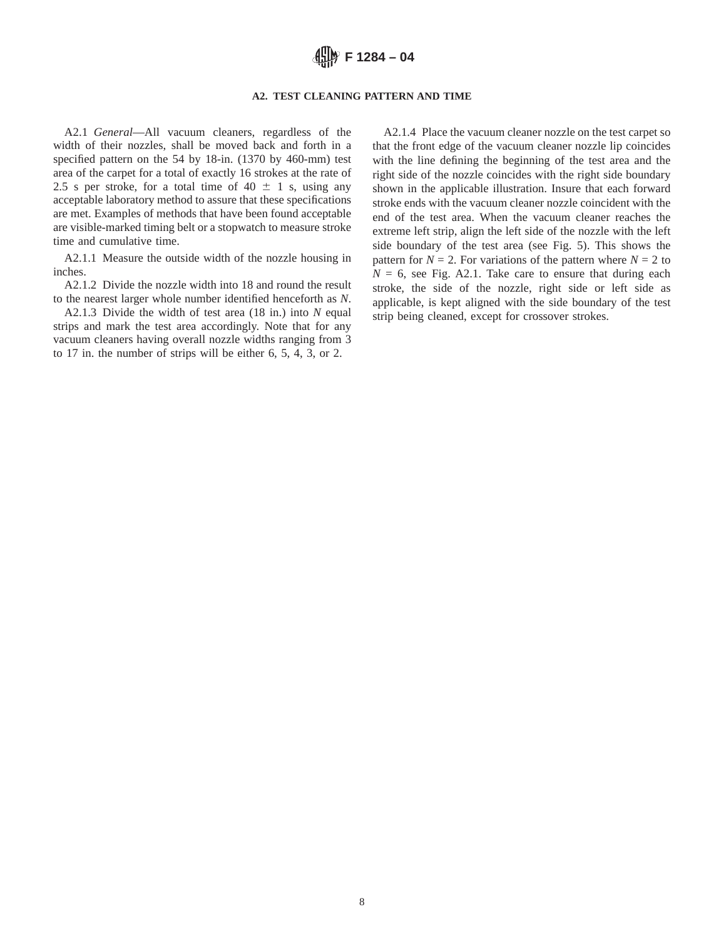## **A2. TEST CLEANING PATTERN AND TIME**

A2.1 *General*—All vacuum cleaners, regardless of the width of their nozzles, shall be moved back and forth in a specified pattern on the 54 by 18-in. (1370 by 460-mm) test area of the carpet for a total of exactly 16 strokes at the rate of 2.5 s per stroke, for a total time of 40  $\pm$  1 s, using any acceptable laboratory method to assure that these specifications are met. Examples of methods that have been found acceptable are visible-marked timing belt or a stopwatch to measure stroke time and cumulative time.

A2.1.1 Measure the outside width of the nozzle housing in inches.

A2.1.2 Divide the nozzle width into 18 and round the result to the nearest larger whole number identified henceforth as *N*.

A2.1.3 Divide the width of test area (18 in.) into *N* equal strips and mark the test area accordingly. Note that for any vacuum cleaners having overall nozzle widths ranging from 3 to 17 in. the number of strips will be either 6, 5, 4, 3, or 2.

A2.1.4 Place the vacuum cleaner nozzle on the test carpet so that the front edge of the vacuum cleaner nozzle lip coincides with the line defining the beginning of the test area and the right side of the nozzle coincides with the right side boundary shown in the applicable illustration. Insure that each forward stroke ends with the vacuum cleaner nozzle coincident with the end of the test area. When the vacuum cleaner reaches the extreme left strip, align the left side of the nozzle with the left side boundary of the test area (see Fig. 5). This shows the pattern for  $N = 2$ . For variations of the pattern where  $N = 2$  to  $N = 6$ , see Fig. A2.1. Take care to ensure that during each stroke, the side of the nozzle, right side or left side as applicable, is kept aligned with the side boundary of the test strip being cleaned, except for crossover strokes.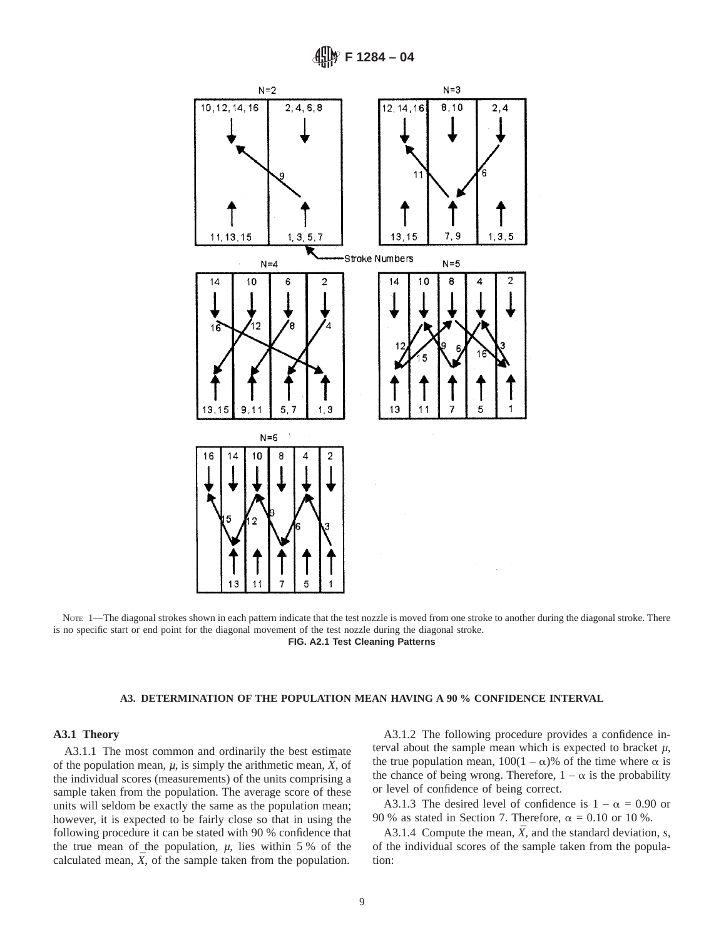

NOTE 1—The diagonal strokes shown in each pattern indicate that the test nozzle is moved from one stroke to another during the diagonal stroke. There is no specific start or end point for the diagonal movement of the test nozzle during the diagonal stroke. **FIG. A2.1 Test Cleaning Patterns**

#### **A3. DETERMINATION OF THE POPULATION MEAN HAVING A 90 % CONFIDENCE INTERVAL**

## **A3.1 Theory**

A3.1.1 The most common and ordinarily the best estimate of the population mean,  $\mu$ , is simply the arithmetic mean,  $\bar{X}$ , of the individual scores (measurements) of the units comprising a sample taken from the population. The average score of these units will seldom be exactly the same as the population mean; however, it is expected to be fairly close so that in using the following procedure it can be stated with 90 % confidence that the true mean of the population,  $\mu$ , lies within 5 % of the calculated mean,  $\bar{X}$ , of the sample taken from the population.

A3.1.2 The following procedure provides a confidence interval about the sample mean which is expected to bracket *µ*, the true population mean,  $100(1 - \alpha)$ % of the time where  $\alpha$  is the chance of being wrong. Therefore,  $1 - \alpha$  is the probability or level of confidence of being correct.

A3.1.3 The desired level of confidence is  $1 - \alpha = 0.90$  or 90 % as stated in Section 7. Therefore,  $\alpha = 0.10$  or 10 %.

A3.1.4 Compute the mean,  $\bar{X}$ , and the standard deviation, *s*, of the individual scores of the sample taken from the population: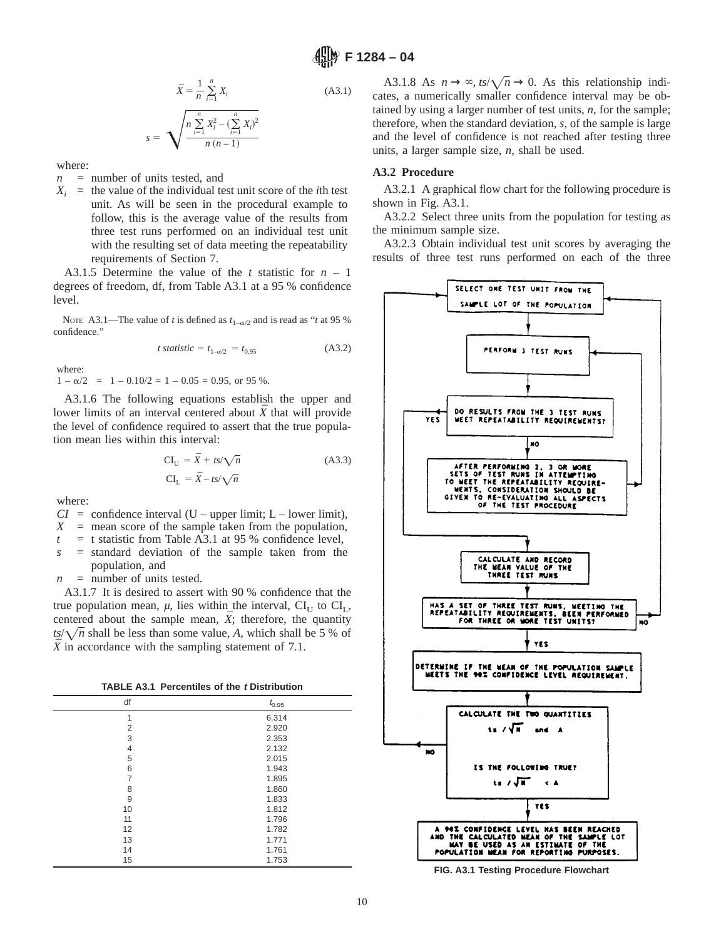$$
\bar{X} = \frac{1}{n} \sum_{i=1}^{n} X_i
$$
\n
$$
s = \sqrt{\frac{n \sum_{i=1}^{n} X_i^2 - (\sum_{i=1}^{n} X_i)^2}{n (n-1)}}
$$
\n(A3.1)

where:

- *n* = number of units tested, and
- $X_i$  = the value of the individual test unit score of the *i*th test unit. As will be seen in the procedural example to follow, this is the average value of the results from three test runs performed on an individual test unit with the resulting set of data meeting the repeatability requirements of Section 7.

A3.1.5 Determine the value of the *t* statistic for *n* – 1 degrees of freedom, df, from Table A3.1 at a 95 % confidence level.

NOTE A3.1—The value of *t* is defined as  $t_{1-\alpha/2}$  and is read as "*t* at 95 % confidence."

*t statistic* = 
$$
t_{1-\alpha/2} = t_{0.95}
$$
 (A3.2)

where:

 $1 - \alpha/2 = 1 - 0.10/2 = 1 - 0.05 = 0.95$ , or 95 %.

A3.1.6 The following equations establish the upper and lower limits of an interval centered about  $\bar{X}$  that will provide the level of confidence required to assert that the true population mean lies within this interval:

$$
CI_U = \bar{X} + ts/\sqrt{n}
$$
\n
$$
CI_L = \bar{X} - ts/\sqrt{n}
$$
\n(A3.3)

where:

 $CI =$  confidence interval (U – upper limit; L – lower limit),

- $X =$  mean score of the sample taken from the population,
- $t = t$  statistic from Table A3.1 at 95 % confidence level,
- *s* = standard deviation of the sample taken from the population, and
- $n =$  number of units tested.

A3.1.7 It is desired to assert with 90 % confidence that the true population mean,  $\mu$ , lies within the interval,  $CI_U$  to  $CI_L$ , centered about the sample mean,  $\bar{X}$ ; therefore, the quantity  $ts/\sqrt{n}$  shall be less than some value, *A*, which shall be 5 % of *X* in accordance with the sampling statement of 7.1.

| <b>TABLE A3.1 Percentiles of the t Distribution</b> |  |  |  |  |
|-----------------------------------------------------|--|--|--|--|
|-----------------------------------------------------|--|--|--|--|

| df             | $t_{0.95}$ |
|----------------|------------|
| 1              | 6.314      |
| $\overline{2}$ | 2.920      |
| 3              | 2.353      |
| $\overline{4}$ | 2.132      |
| 5              | 2.015      |
| 6              | 1.943      |
| 7              | 1.895      |
| 8              | 1.860      |
| 9              | 1.833      |
| 10             | 1.812      |
| 11             | 1.796      |
| 12             | 1.782      |
| 13             | 1.771      |
| 14             | 1.761      |
| 15             | 1.753      |

A3.1.8 As  $n \to \infty$ ,  $ts/\sqrt{n} \to 0$ . As this relationship indicates, a numerically smaller confidence interval may be obtained by using a larger number of test units, *n*, for the sample; therefore, when the standard deviation, *s*, of the sample is large and the level of confidence is not reached after testing three units, a larger sample size, *n*, shall be used.

## **A3.2 Procedure**

A3.2.1 A graphical flow chart for the following procedure is shown in Fig. A3.1.

A3.2.2 Select three units from the population for testing as the minimum sample size.

A3.2.3 Obtain individual test unit scores by averaging the results of three test runs performed on each of the three



**FIG. A3.1 Testing Procedure Flowchart**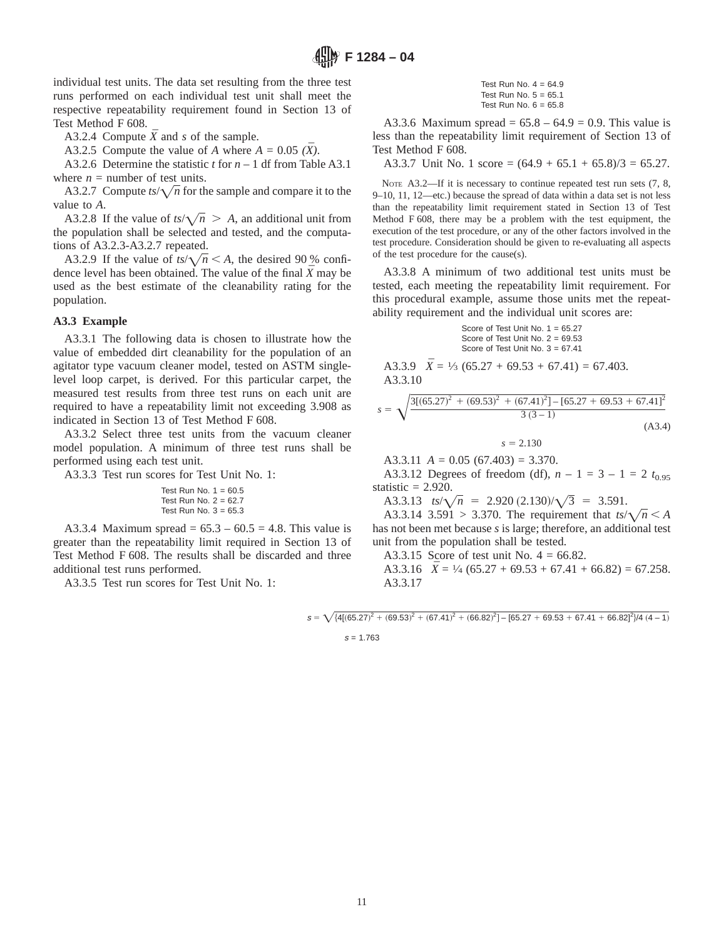individual test units. The data set resulting from the three test runs performed on each individual test unit shall meet the respective repeatability requirement found in Section 13 of Test Method F 608.

A3.2.4 Compute  $\bar{X}$  and *s* of the sample.

A3.2.5 Compute the value of *A* where  $A = 0.05 (\overline{X})$ .

A3.2.6 Determine the statistic *t* for *n* – 1 df from Table A3.1 where  $n =$  number of test units.

A3.2.7 Compute  $ts/\sqrt{n}$  for the sample and compare it to the value to *A*.

A3.2.8 If the value of  $ts/\sqrt{n} > A$ , an additional unit from the population shall be selected and tested, and the computations of A3.2.3-A3.2.7 repeated.

A3.2.9 If the value of  $ts/\sqrt{n} < A$ , the desired 90 % confidence level has been obtained. The value of the final  $\bar{X}$  may be used as the best estimate of the cleanability rating for the population.

#### **A3.3 Example**

A3.3.1 The following data is chosen to illustrate how the value of embedded dirt cleanability for the population of an agitator type vacuum cleaner model, tested on ASTM singlelevel loop carpet, is derived. For this particular carpet, the measured test results from three test runs on each unit are required to have a repeatability limit not exceeding 3.908 as indicated in Section 13 of Test Method F 608.

A3.3.2 Select three test units from the vacuum cleaner model population. A minimum of three test runs shall be performed using each test unit.

A3.3.3 Test run scores for Test Unit No. 1:

|  |  | Test Run No. $1 = 60.5$ |
|--|--|-------------------------|
|  |  | Test Run No. $2 = 62.7$ |
|  |  | Test Run No. 3 = 65.3   |

A3.3.4 Maximum spread =  $65.3 - 60.5 = 4.8$ . This value is greater than the repeatability limit required in Section 13 of Test Method F 608. The results shall be discarded and three additional test runs performed.

A3.3.5 Test run scores for Test Unit No. 1:

Test Run No.  $4 = 64.9$ Test Run No.  $5 = 65.1$ Test Run No.  $6 = 65.8$ 

A3.3.6 Maximum spread =  $65.8 - 64.9 = 0.9$ . This value is less than the repeatability limit requirement of Section 13 of Test Method F 608.

A3.3.7 Unit No. 1 score =  $(64.9 + 65.1 + 65.8)/3 = 65.27$ .

NOTE A3.2—If it is necessary to continue repeated test run sets  $(7, 8, 1)$ 9–10, 11, 12—etc.) because the spread of data within a data set is not less than the repeatability limit requirement stated in Section 13 of Test Method F 608, there may be a problem with the test equipment, the execution of the test procedure, or any of the other factors involved in the test procedure. Consideration should be given to re-evaluating all aspects of the test procedure for the cause(s).

A3.3.8 A minimum of two additional test units must be tested, each meeting the repeatability limit requirement. For this procedural example, assume those units met the repeatability requirement and the individual unit scores are:

> Score of Test Unit No. 1 = 65.27 Score of Test Unit No. 2 = 69.53 Score of Test Unit No.  $3 = 67.41$

A3.3.9 
$$
\bar{X} = \frac{1}{3} (65.27 + 69.53 + 67.41) = 67.403.
$$
  
A3.3.10

$$
s = \sqrt{\frac{3[(65.27)^2 + (69.53)^2 + (67.41)^2] - [65.27 + 69.53 + 67.41]^2}{3(3-1)}}
$$
\n(A3.4)

 $s = 2.130$ 

A3.3.11  $A = 0.05$  (67.403) = 3.370.

A3.3.12 Degrees of freedom (df),  $n - 1 = 3 - 1 = 2$   $t_{0.95}$ statistic  $= 2.920$ .

A3.3.13  $ts/\sqrt{n} = 2.920 (2.130)/\sqrt{3} = 3.591$ .

A3.3.14 3.591 > 3.370. The requirement that  $ts/\sqrt{n} < A$ has not been met because *s* is large; therefore, an additional test unit from the population shall be tested.

A3.3.15 Score of test unit No.  $4 = 66.82$ .

A3.3.16  $\bar{X} = \frac{1}{4} (65.27 + 69.53 + 67.41 + 66.82) = 67.258$ . A3.3.17

 $s = \sqrt{\left[4[(65.27)^2 + (69.53)^2 + (67.41)^2 + (66.82)^2\right] - [65.27 + 69.53 + 67.41 + 66.82]^2}/4(4-1)}$ 

 $s = 1.763$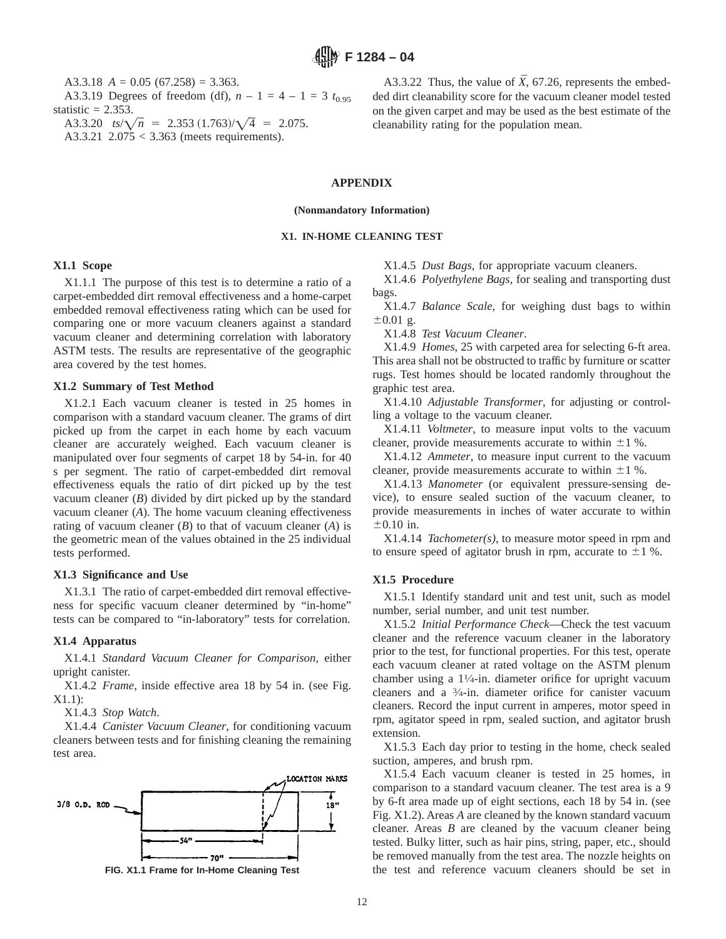A3.3.18  $A = 0.05$  (67.258) = 3.363. A3.3.19 Degrees of freedom (df),  $n - 1 = 4 - 1 = 3$   $t_{0.95}$ statistic  $= 2.353$ . A3.3.20  $ts/\sqrt{n}$  = 2.353  $(1.763)/\sqrt{4}$  = 2.075.

A3.3.21 2.075 < 3.363 (meets requirements).

A3.3.22 Thus, the value of  $\bar{X}$ , 67.26, represents the embedded dirt cleanability score for the vacuum cleaner model tested on the given carpet and may be used as the best estimate of the cleanability rating for the population mean.

# **APPENDIX**

**(Nonmandatory Information)**

## **X1. IN-HOME CLEANING TEST**

## **X1.1 Scope**

X1.1.1 The purpose of this test is to determine a ratio of a carpet-embedded dirt removal effectiveness and a home-carpet embedded removal effectiveness rating which can be used for comparing one or more vacuum cleaners against a standard vacuum cleaner and determining correlation with laboratory ASTM tests. The results are representative of the geographic area covered by the test homes.

#### **X1.2 Summary of Test Method**

X1.2.1 Each vacuum cleaner is tested in 25 homes in comparison with a standard vacuum cleaner. The grams of dirt picked up from the carpet in each home by each vacuum cleaner are accurately weighed. Each vacuum cleaner is manipulated over four segments of carpet 18 by 54-in. for 40 s per segment. The ratio of carpet-embedded dirt removal effectiveness equals the ratio of dirt picked up by the test vacuum cleaner (*B*) divided by dirt picked up by the standard vacuum cleaner (*A*). The home vacuum cleaning effectiveness rating of vacuum cleaner (*B*) to that of vacuum cleaner (*A*) is the geometric mean of the values obtained in the 25 individual tests performed.

#### **X1.3 Significance and Use**

X1.3.1 The ratio of carpet-embedded dirt removal effectiveness for specific vacuum cleaner determined by "in-home" tests can be compared to "in-laboratory" tests for correlation.

## **X1.4 Apparatus**

X1.4.1 *Standard Vacuum Cleaner for Comparison*, either upright canister.

X1.4.2 *Frame*, inside effective area 18 by 54 in. (see Fig. X1.1):

X1.4.3 *Stop Watch*.

X1.4.4 *Canister Vacuum Cleaner*, for conditioning vacuum cleaners between tests and for finishing cleaning the remaining test area.





X1.4.5 *Dust Bags*, for appropriate vacuum cleaners.

X1.4.6 *Polyethylene Bags*, for sealing and transporting dust bags.

X1.4.7 *Balance Scale*, for weighing dust bags to within  $\pm 0.01$  g.

X1.4.8 *Test Vacuum Cleaner*.

X1.4.9 *Homes*, 25 with carpeted area for selecting 6-ft area. This area shall not be obstructed to traffic by furniture or scatter rugs. Test homes should be located randomly throughout the graphic test area.

X1.4.10 *Adjustable Transformer*, for adjusting or controlling a voltage to the vacuum cleaner.

X1.4.11 *Voltmeter*, to measure input volts to the vacuum cleaner, provide measurements accurate to within  $\pm 1$  %.

X1.4.12 *Ammeter*, to measure input current to the vacuum cleaner, provide measurements accurate to within  $\pm 1$  %.

X1.4.13 *Manometer* (or equivalent pressure-sensing device), to ensure sealed suction of the vacuum cleaner, to provide measurements in inches of water accurate to within  $\pm 0.10$  in.

X1.4.14 *Tachometer(s)*, to measure motor speed in rpm and to ensure speed of agitator brush in rpm, accurate to  $\pm 1$  %.

#### **X1.5 Procedure**

X1.5.1 Identify standard unit and test unit, such as model number, serial number, and unit test number.

X1.5.2 *Initial Performance Check*—Check the test vacuum cleaner and the reference vacuum cleaner in the laboratory prior to the test, for functional properties. For this test, operate each vacuum cleaner at rated voltage on the ASTM plenum chamber using a  $1\frac{1}{4}$ -in. diameter orifice for upright vacuum cleaners and a 3⁄4-in. diameter orifice for canister vacuum cleaners. Record the input current in amperes, motor speed in rpm, agitator speed in rpm, sealed suction, and agitator brush extension.

X1.5.3 Each day prior to testing in the home, check sealed suction, amperes, and brush rpm.

X1.5.4 Each vacuum cleaner is tested in 25 homes, in comparison to a standard vacuum cleaner. The test area is a 9 by 6-ft area made up of eight sections, each 18 by 54 in. (see Fig. X1.2). Areas *A* are cleaned by the known standard vacuum cleaner. Areas *B* are cleaned by the vacuum cleaner being tested. Bulky litter, such as hair pins, string, paper, etc., should be removed manually from the test area. The nozzle heights on **FIG. X1.1 Frame for In-Home Cleaning Test** the test and reference vacuum cleaners should be set in